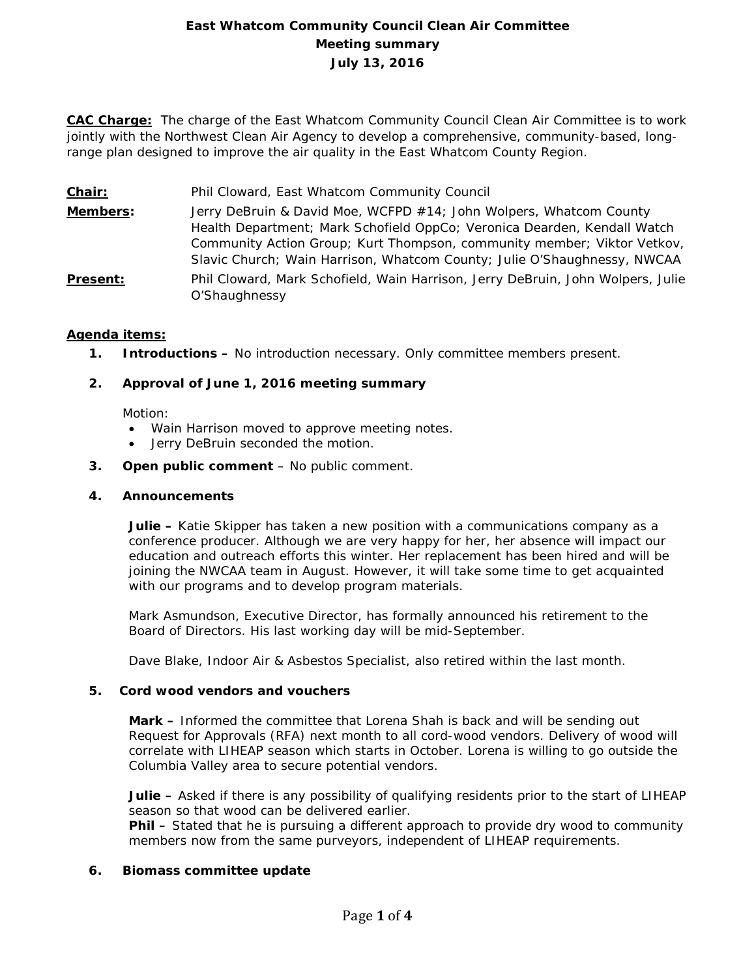# **East Whatcom Community Council Clean Air Committee Meeting summary July 13, 2016**

**CAC Charge:** The charge of the East Whatcom Community Council Clean Air Committee is to work jointly with the Northwest Clean Air Agency to develop a comprehensive, community-based, longrange plan designed to improve the air quality in the East Whatcom County Region.

- **Chair:** Phil Cloward, East Whatcom Community Council
- **Members:** Jerry DeBruin & David Moe, WCFPD #14; John Wolpers, Whatcom County Health Department; Mark Schofield OppCo; Veronica Dearden, Kendall Watch Community Action Group; Kurt Thompson, community member; Viktor Vetkov, Slavic Church; Wain Harrison, Whatcom County; Julie O'Shaughnessy, NWCAA
- **Present:** Phil Cloward, Mark Schofield, Wain Harrison, Jerry DeBruin, John Wolpers, Julie O'Shaughnessy

## **Agenda items:**

**1. Introductions –** No introduction necessary. Only committee members present.

## **2. Approval of June 1, 2016 meeting summary**

Motion:

- Wain Harrison moved to approve meeting notes.
- Jerry DeBruin seconded the motion.
- **3. Open public comment**  No public comment.

### **4. Announcements**

**Julie –** Katie Skipper has taken a new position with a communications company as a conference producer. Although we are very happy for her, her absence will impact our education and outreach efforts this winter. Her replacement has been hired and will be joining the NWCAA team in August. However, it will take some time to get acquainted with our programs and to develop program materials.

Mark Asmundson, Executive Director, has formally announced his retirement to the Board of Directors. His last working day will be mid-September.

Dave Blake, Indoor Air & Asbestos Specialist, also retired within the last month.

### **5. Cord wood vendors and vouchers**

**Mark –** Informed the committee that Lorena Shah is back and will be sending out Request for Approvals (RFA) next month to all cord-wood vendors. Delivery of wood will correlate with LIHEAP season which starts in October. Lorena is willing to go outside the Columbia Valley area to secure potential vendors.

**Julie –** Asked if there is any possibility of qualifying residents prior to the start of LIHEAP season so that wood can be delivered earlier.

**Phil –** Stated that he is pursuing a different approach to provide dry wood to community members now from the same purveyors, independent of LIHEAP requirements.

### **6. Biomass committee update**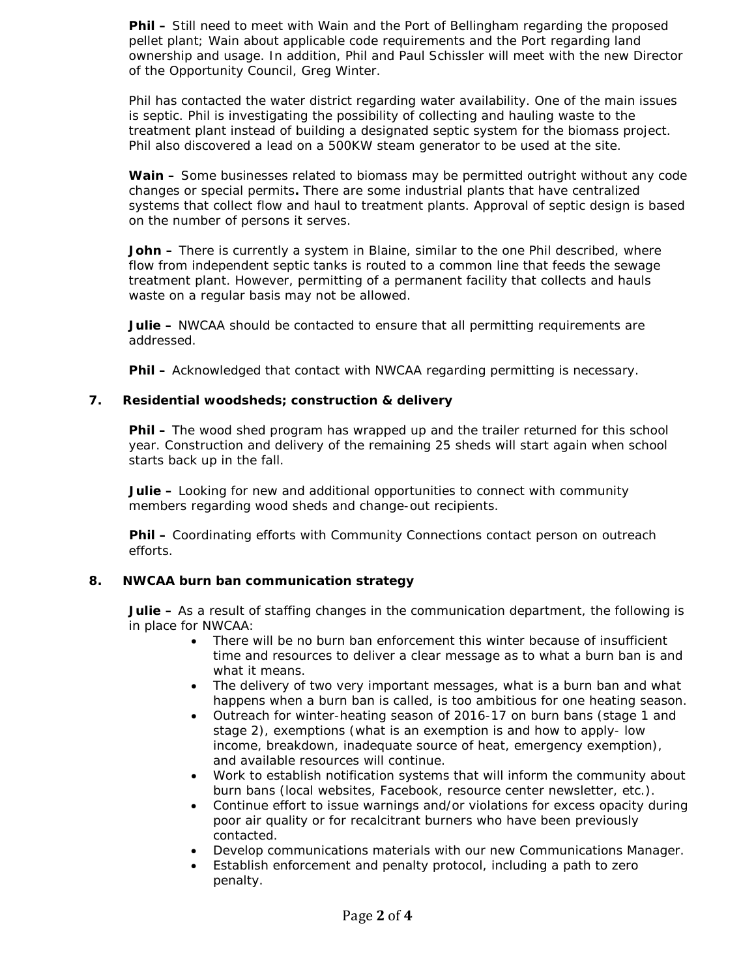**Phil –** Still need to meet with Wain and the Port of Bellingham regarding the proposed pellet plant; Wain about applicable code requirements and the Port regarding land ownership and usage. In addition, Phil and Paul Schissler will meet with the new Director of the Opportunity Council, Greg Winter.

Phil has contacted the water district regarding water availability. One of the main issues is septic. Phil is investigating the possibility of collecting and hauling waste to the treatment plant instead of building a designated septic system for the biomass project. Phil also discovered a lead on a 500KW steam generator to be used at the site.

**Wain –** Some businesses related to biomass may be permitted outright without any code changes or special permits**.** There are some industrial plants that have centralized systems that collect flow and haul to treatment plants. Approval of septic design is based on the number of persons it serves.

**John –** There is currently a system in Blaine, similar to the one Phil described, where flow from independent septic tanks is routed to a common line that feeds the sewage treatment plant. However, permitting of a permanent facility that collects and hauls waste on a regular basis may not be allowed.

**Julie –** NWCAA should be contacted to ensure that all permitting requirements are addressed.

**Phil –** Acknowledged that contact with NWCAA regarding permitting is necessary.

#### **7. Residential woodsheds; construction & delivery**

**Phil –** The wood shed program has wrapped up and the trailer returned for this school year. Construction and delivery of the remaining 25 sheds will start again when school starts back up in the fall.

**Julie –** Looking for new and additional opportunities to connect with community members regarding wood sheds and change-out recipients.

**Phil –** Coordinating efforts with Community Connections contact person on outreach efforts.

### **8. NWCAA burn ban communication strategy**

**Julie –** As a result of staffing changes in the communication department, the following is in place for NWCAA:

- There will be no burn ban enforcement this winter because of insufficient time and resources to deliver a clear message as to what a burn ban is and what it means.
- The delivery of two very important messages, what is a burn ban and what happens when a burn ban is called, is too ambitious for one heating season.
- Outreach for winter-heating season of 2016-17 on burn bans (stage 1 and stage 2), exemptions (what is an exemption is and how to apply- low income, breakdown, inadequate source of heat, emergency exemption), and available resources will continue.
- Work to establish notification systems that will inform the community about burn bans (local websites, Facebook, resource center newsletter, etc.).
- Continue effort to issue warnings and/or violations for excess opacity during poor air quality or for recalcitrant burners who have been previously contacted.
- Develop communications materials with our new Communications Manager.
- Establish enforcement and penalty protocol, including a path to zero penalty.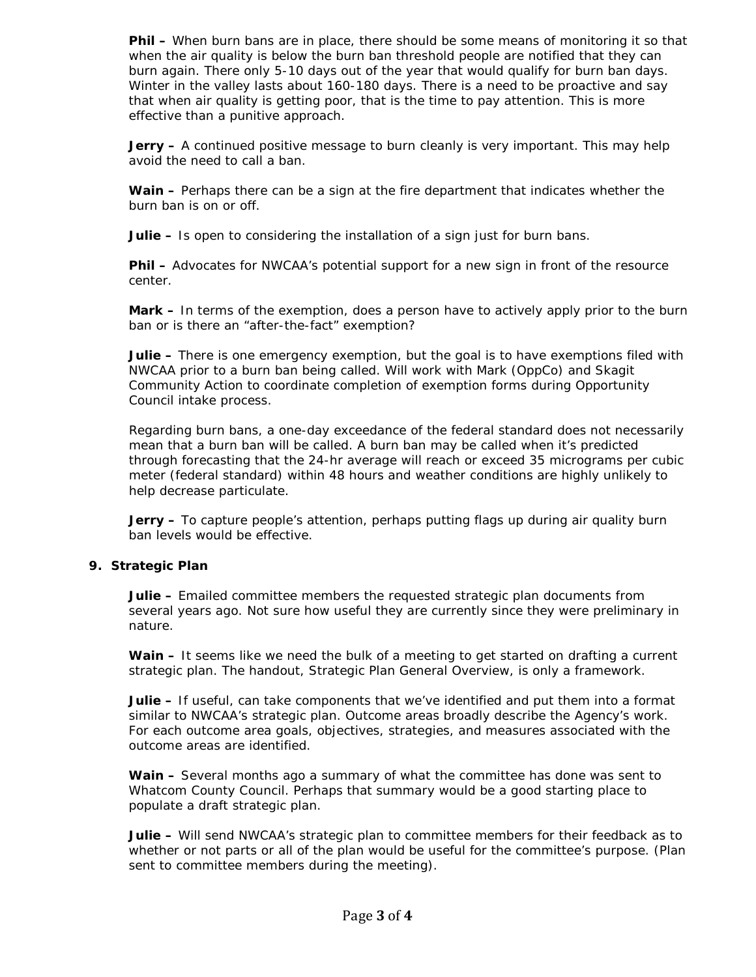**Phil –** When burn bans are in place, there should be some means of monitoring it so that when the air quality is below the burn ban threshold people are notified that they can burn again. There only 5-10 days out of the year that would qualify for burn ban days. Winter in the valley lasts about 160-180 days. There is a need to be proactive and say that when air quality is getting poor, that is the time to pay attention. This is more effective than a punitive approach.

**Jerry –** A continued positive message to burn cleanly is very important. This may help avoid the need to call a ban.

**Wain –** Perhaps there can be a sign at the fire department that indicates whether the burn ban is on or off.

**Julie –** Is open to considering the installation of a sign just for burn bans.

**Phil –** Advocates for NWCAA's potential support for a new sign in front of the resource center.

**Mark –** In terms of the exemption, does a person have to actively apply prior to the burn ban or is there an "after-the-fact" exemption?

**Julie –** There is one emergency exemption, but the goal is to have exemptions filed with NWCAA prior to a burn ban being called. Will work with Mark (OppCo) and Skagit Community Action to coordinate completion of exemption forms during Opportunity Council intake process.

Regarding burn bans, a one-day exceedance of the federal standard does not necessarily mean that a burn ban will be called. A burn ban may be called when it's predicted through forecasting that the 24-hr average will reach or exceed 35 micrograms per cubic meter (federal standard) within 48 hours and weather conditions are highly unlikely to help decrease particulate.

**Jerry –** To capture people's attention, perhaps putting flags up during air quality burn ban levels would be effective.

### **9. Strategic Plan**

**Julie –** Emailed committee members the requested strategic plan documents from several years ago. Not sure how useful they are currently since they were preliminary in nature.

**Wain –** It seems like we need the bulk of a meeting to get started on drafting a current strategic plan. The handout, Strategic Plan General Overview, is only a framework.

**Julie –** If useful, can take components that we've identified and put them into a format similar to NWCAA's strategic plan. Outcome areas broadly describe the Agency's work. For each outcome area goals, objectives, strategies, and measures associated with the outcome areas are identified.

**Wain –** Several months ago a summary of what the committee has done was sent to Whatcom County Council. Perhaps that summary would be a good starting place to populate a draft strategic plan.

**Julie –** Will send NWCAA's strategic plan to committee members for their feedback as to whether or not parts or all of the plan would be useful for the committee's purpose. (Plan sent to committee members during the meeting).